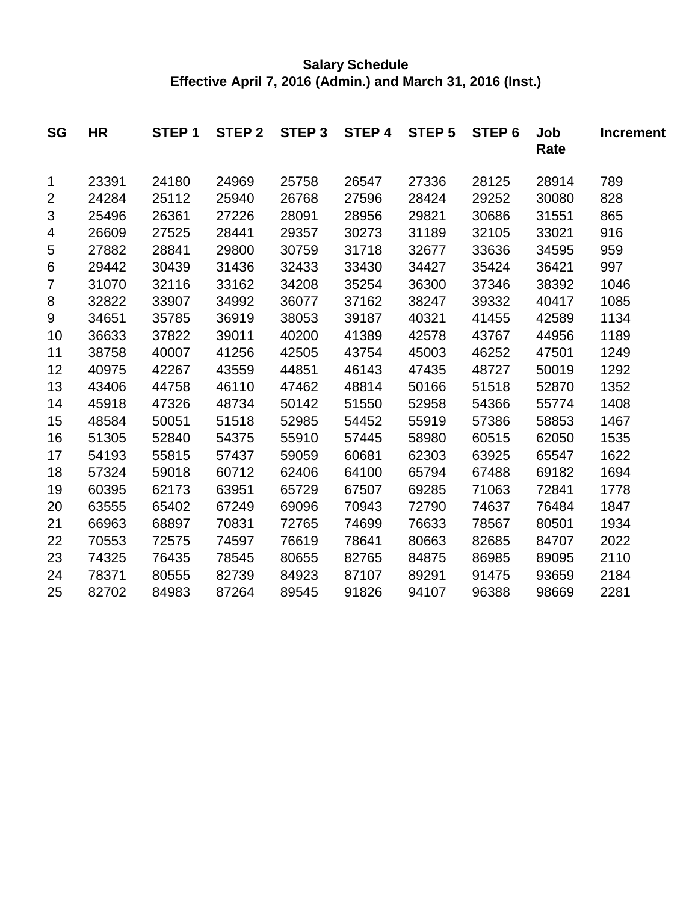# **Salary Schedule Effective April 7, 2016 (Admin.) and March 31, 2016 (Inst.)**

| <b>SG</b>      | <b>HR</b> | STEP <sub>1</sub> | STEP <sub>2</sub> | STEP <sub>3</sub> | STEP 4 | STEP <sub>5</sub> | STEP <sub>6</sub> | Job<br>Rate | <b>Increment</b> |
|----------------|-----------|-------------------|-------------------|-------------------|--------|-------------------|-------------------|-------------|------------------|
| 1              | 23391     | 24180             | 24969             | 25758             | 26547  | 27336             | 28125             | 28914       | 789              |
| $\overline{2}$ | 24284     | 25112             | 25940             | 26768             | 27596  | 28424             | 29252             | 30080       | 828              |
| 3              | 25496     | 26361             | 27226             | 28091             | 28956  | 29821             | 30686             | 31551       | 865              |
| 4              | 26609     | 27525             | 28441             | 29357             | 30273  | 31189             | 32105             | 33021       | 916              |
| 5              | 27882     | 28841             | 29800             | 30759             | 31718  | 32677             | 33636             | 34595       | 959              |
| 6              | 29442     | 30439             | 31436             | 32433             | 33430  | 34427             | 35424             | 36421       | 997              |
| 7              | 31070     | 32116             | 33162             | 34208             | 35254  | 36300             | 37346             | 38392       | 1046             |
| 8              | 32822     | 33907             | 34992             | 36077             | 37162  | 38247             | 39332             | 40417       | 1085             |
| 9              | 34651     | 35785             | 36919             | 38053             | 39187  | 40321             | 41455             | 42589       | 1134             |
| 10             | 36633     | 37822             | 39011             | 40200             | 41389  | 42578             | 43767             | 44956       | 1189             |
| 11             | 38758     | 40007             | 41256             | 42505             | 43754  | 45003             | 46252             | 47501       | 1249             |
| 12             | 40975     | 42267             | 43559             | 44851             | 46143  | 47435             | 48727             | 50019       | 1292             |
| 13             | 43406     | 44758             | 46110             | 47462             | 48814  | 50166             | 51518             | 52870       | 1352             |
| 14             | 45918     | 47326             | 48734             | 50142             | 51550  | 52958             | 54366             | 55774       | 1408             |
| 15             | 48584     | 50051             | 51518             | 52985             | 54452  | 55919             | 57386             | 58853       | 1467             |
| 16             | 51305     | 52840             | 54375             | 55910             | 57445  | 58980             | 60515             | 62050       | 1535             |
| 17             | 54193     | 55815             | 57437             | 59059             | 60681  | 62303             | 63925             | 65547       | 1622             |
| 18             | 57324     | 59018             | 60712             | 62406             | 64100  | 65794             | 67488             | 69182       | 1694             |
| 19             | 60395     | 62173             | 63951             | 65729             | 67507  | 69285             | 71063             | 72841       | 1778             |
| 20             | 63555     | 65402             | 67249             | 69096             | 70943  | 72790             | 74637             | 76484       | 1847             |
| 21             | 66963     | 68897             | 70831             | 72765             | 74699  | 76633             | 78567             | 80501       | 1934             |
| 22             | 70553     | 72575             | 74597             | 76619             | 78641  | 80663             | 82685             | 84707       | 2022             |
| 23             | 74325     | 76435             | 78545             | 80655             | 82765  | 84875             | 86985             | 89095       | 2110             |
| 24             | 78371     | 80555             | 82739             | 84923             | 87107  | 89291             | 91475             | 93659       | 2184             |
| 25             | 82702     | 84983             | 87264             | 89545             | 91826  | 94107             | 96388             | 98669       | 2281             |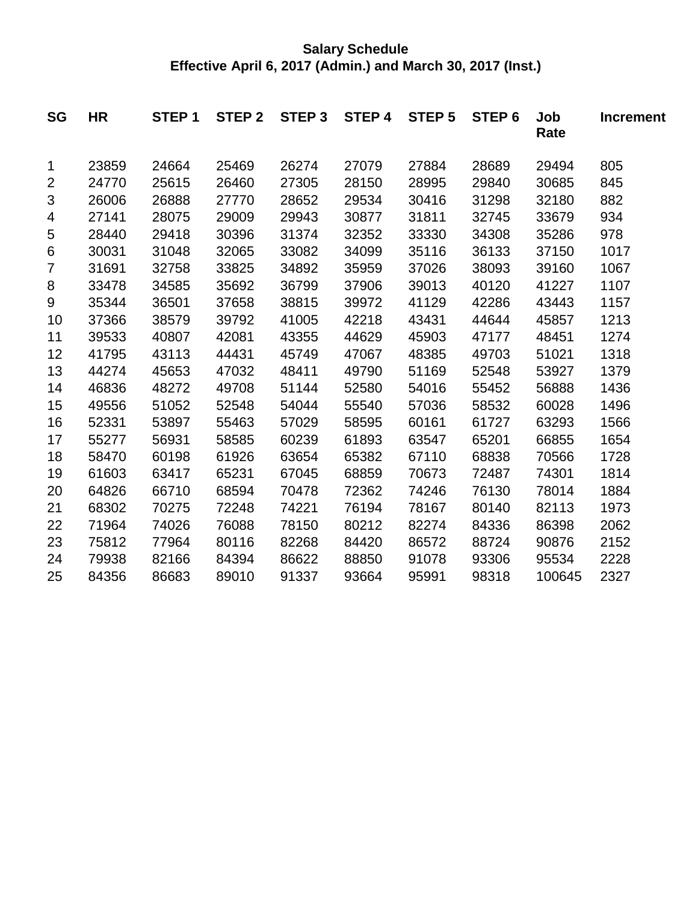## **Salary Schedule Effective April 6, 2017 (Admin.) and March 30, 2017 (Inst.)**

| <b>SG</b> | <b>HR</b> | STEP <sub>1</sub> | STEP <sub>2</sub> | STEP <sub>3</sub> | <b>STEP 4</b> | <b>STEP 5</b> | STEP <sub>6</sub> | Job<br>Rate | <b>Increment</b> |
|-----------|-----------|-------------------|-------------------|-------------------|---------------|---------------|-------------------|-------------|------------------|
| 1         | 23859     | 24664             | 25469             | 26274             | 27079         | 27884         | 28689             | 29494       | 805              |
| 2         | 24770     | 25615             | 26460             | 27305             | 28150         | 28995         | 29840             | 30685       | 845              |
| 3         | 26006     | 26888             | 27770             | 28652             | 29534         | 30416         | 31298             | 32180       | 882              |
| 4         | 27141     | 28075             | 29009             | 29943             | 30877         | 31811         | 32745             | 33679       | 934              |
| 5         | 28440     | 29418             | 30396             | 31374             | 32352         | 33330         | 34308             | 35286       | 978              |
| 6         | 30031     | 31048             | 32065             | 33082             | 34099         | 35116         | 36133             | 37150       | 1017             |
| 7         | 31691     | 32758             | 33825             | 34892             | 35959         | 37026         | 38093             | 39160       | 1067             |
| 8         | 33478     | 34585             | 35692             | 36799             | 37906         | 39013         | 40120             | 41227       | 1107             |
| 9         | 35344     | 36501             | 37658             | 38815             | 39972         | 41129         | 42286             | 43443       | 1157             |
| 10        | 37366     | 38579             | 39792             | 41005             | 42218         | 43431         | 44644             | 45857       | 1213             |
| 11        | 39533     | 40807             | 42081             | 43355             | 44629         | 45903         | 47177             | 48451       | 1274             |
| 12        | 41795     | 43113             | 44431             | 45749             | 47067         | 48385         | 49703             | 51021       | 1318             |
| 13        | 44274     | 45653             | 47032             | 48411             | 49790         | 51169         | 52548             | 53927       | 1379             |
| 14        | 46836     | 48272             | 49708             | 51144             | 52580         | 54016         | 55452             | 56888       | 1436             |
| 15        | 49556     | 51052             | 52548             | 54044             | 55540         | 57036         | 58532             | 60028       | 1496             |
| 16        | 52331     | 53897             | 55463             | 57029             | 58595         | 60161         | 61727             | 63293       | 1566             |
| 17        | 55277     | 56931             | 58585             | 60239             | 61893         | 63547         | 65201             | 66855       | 1654             |
| 18        | 58470     | 60198             | 61926             | 63654             | 65382         | 67110         | 68838             | 70566       | 1728             |
| 19        | 61603     | 63417             | 65231             | 67045             | 68859         | 70673         | 72487             | 74301       | 1814             |
| 20        | 64826     | 66710             | 68594             | 70478             | 72362         | 74246         | 76130             | 78014       | 1884             |
| 21        | 68302     | 70275             | 72248             | 74221             | 76194         | 78167         | 80140             | 82113       | 1973             |
| 22        | 71964     | 74026             | 76088             | 78150             | 80212         | 82274         | 84336             | 86398       | 2062             |
| 23        | 75812     | 77964             | 80116             | 82268             | 84420         | 86572         | 88724             | 90876       | 2152             |
| 24        | 79938     | 82166             | 84394             | 86622             | 88850         | 91078         | 93306             | 95534       | 2228             |
| 25        | 84356     | 86683             | 89010             | 91337             | 93664         | 95991         | 98318             | 100645      | 2327             |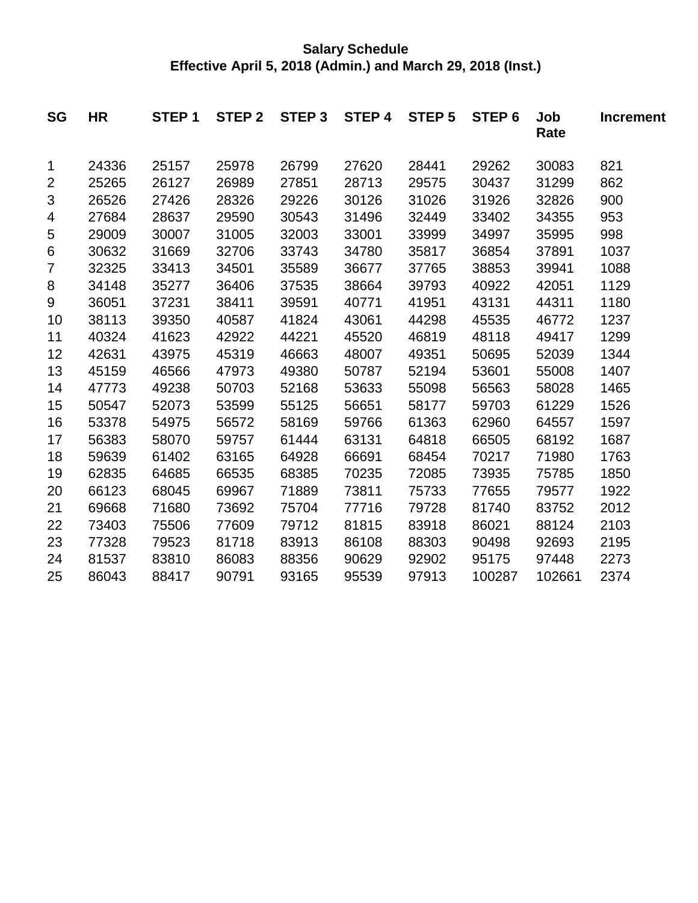## **Salary Schedule Effective April 5, 2018 (Admin.) and March 29, 2018 (Inst.)**

| <b>SG</b>      | <b>HR</b> | STEP <sub>1</sub> | STEP <sub>2</sub> | STEP <sub>3</sub> | STEP 4 | <b>STEP 5</b> | STEP <sub>6</sub> | Job<br>Rate | <b>Increment</b> |
|----------------|-----------|-------------------|-------------------|-------------------|--------|---------------|-------------------|-------------|------------------|
| 1              | 24336     | 25157             | 25978             | 26799             | 27620  | 28441         | 29262             | 30083       | 821              |
| $\overline{2}$ | 25265     | 26127             | 26989             | 27851             | 28713  | 29575         | 30437             | 31299       | 862              |
| 3              | 26526     | 27426             | 28326             | 29226             | 30126  | 31026         | 31926             | 32826       | 900              |
| 4              | 27684     | 28637             | 29590             | 30543             | 31496  | 32449         | 33402             | 34355       | 953              |
| 5              | 29009     | 30007             | 31005             | 32003             | 33001  | 33999         | 34997             | 35995       | 998              |
| 6              | 30632     | 31669             | 32706             | 33743             | 34780  | 35817         | 36854             | 37891       | 1037             |
| 7              | 32325     | 33413             | 34501             | 35589             | 36677  | 37765         | 38853             | 39941       | 1088             |
| 8              | 34148     | 35277             | 36406             | 37535             | 38664  | 39793         | 40922             | 42051       | 1129             |
| 9              | 36051     | 37231             | 38411             | 39591             | 40771  | 41951         | 43131             | 44311       | 1180             |
| 10             | 38113     | 39350             | 40587             | 41824             | 43061  | 44298         | 45535             | 46772       | 1237             |
| 11             | 40324     | 41623             | 42922             | 44221             | 45520  | 46819         | 48118             | 49417       | 1299             |
| 12             | 42631     | 43975             | 45319             | 46663             | 48007  | 49351         | 50695             | 52039       | 1344             |
| 13             | 45159     | 46566             | 47973             | 49380             | 50787  | 52194         | 53601             | 55008       | 1407             |
| 14             | 47773     | 49238             | 50703             | 52168             | 53633  | 55098         | 56563             | 58028       | 1465             |
| 15             | 50547     | 52073             | 53599             | 55125             | 56651  | 58177         | 59703             | 61229       | 1526             |
| 16             | 53378     | 54975             | 56572             | 58169             | 59766  | 61363         | 62960             | 64557       | 1597             |
| 17             | 56383     | 58070             | 59757             | 61444             | 63131  | 64818         | 66505             | 68192       | 1687             |
| 18             | 59639     | 61402             | 63165             | 64928             | 66691  | 68454         | 70217             | 71980       | 1763             |
| 19             | 62835     | 64685             | 66535             | 68385             | 70235  | 72085         | 73935             | 75785       | 1850             |
| 20             | 66123     | 68045             | 69967             | 71889             | 73811  | 75733         | 77655             | 79577       | 1922             |
| 21             | 69668     | 71680             | 73692             | 75704             | 77716  | 79728         | 81740             | 83752       | 2012             |
| 22             | 73403     | 75506             | 77609             | 79712             | 81815  | 83918         | 86021             | 88124       | 2103             |
| 23             | 77328     | 79523             | 81718             | 83913             | 86108  | 88303         | 90498             | 92693       | 2195             |
| 24             | 81537     | 83810             | 86083             | 88356             | 90629  | 92902         | 95175             | 97448       | 2273             |
| 25             | 86043     | 88417             | 90791             | 93165             | 95539  | 97913         | 100287            | 102661      | 2374             |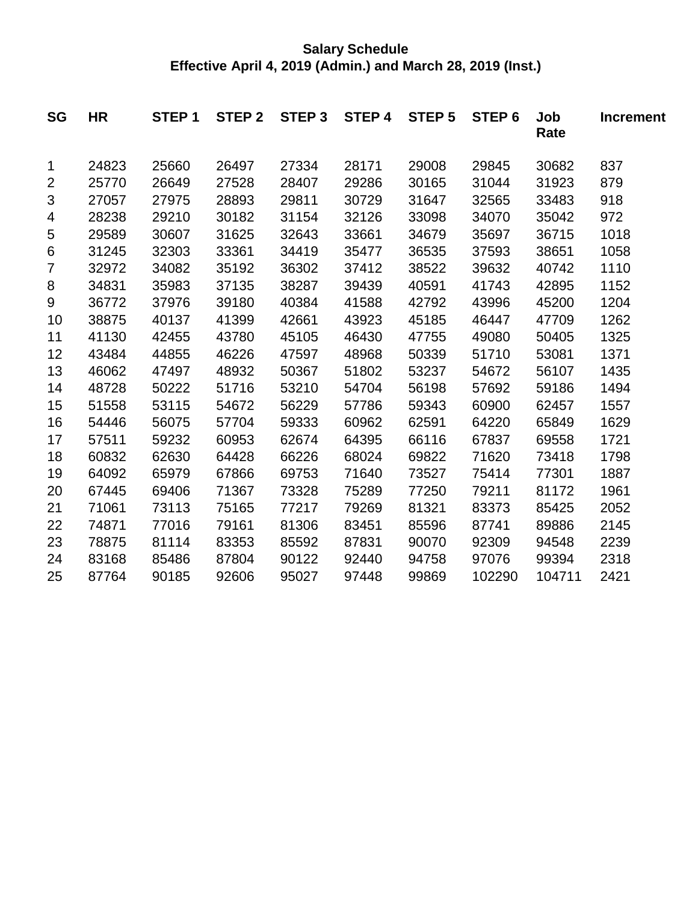### **Salary Schedule Effective April 4, 2019 (Admin.) and March 28, 2019 (Inst.)**

| <b>SG</b>      | <b>HR</b> | STEP <sub>1</sub> | STEP <sub>2</sub> | STEP <sub>3</sub> | <b>STEP 4</b> | <b>STEP 5</b> | STEP <sub>6</sub> | Job<br>Rate | <b>Increment</b> |
|----------------|-----------|-------------------|-------------------|-------------------|---------------|---------------|-------------------|-------------|------------------|
| 1              | 24823     | 25660             | 26497             | 27334             | 28171         | 29008         | 29845             | 30682       | 837              |
| $\overline{2}$ | 25770     | 26649             | 27528             | 28407             | 29286         | 30165         | 31044             | 31923       | 879              |
| 3              | 27057     | 27975             | 28893             | 29811             | 30729         | 31647         | 32565             | 33483       | 918              |
| 4              | 28238     | 29210             | 30182             | 31154             | 32126         | 33098         | 34070             | 35042       | 972              |
| 5              | 29589     | 30607             | 31625             | 32643             | 33661         | 34679         | 35697             | 36715       | 1018             |
| 6              | 31245     | 32303             | 33361             | 34419             | 35477         | 36535         | 37593             | 38651       | 1058             |
| 7              | 32972     | 34082             | 35192             | 36302             | 37412         | 38522         | 39632             | 40742       | 1110             |
| 8              | 34831     | 35983             | 37135             | 38287             | 39439         | 40591         | 41743             | 42895       | 1152             |
| 9              | 36772     | 37976             | 39180             | 40384             | 41588         | 42792         | 43996             | 45200       | 1204             |
| 10             | 38875     | 40137             | 41399             | 42661             | 43923         | 45185         | 46447             | 47709       | 1262             |
| 11             | 41130     | 42455             | 43780             | 45105             | 46430         | 47755         | 49080             | 50405       | 1325             |
| 12             | 43484     | 44855             | 46226             | 47597             | 48968         | 50339         | 51710             | 53081       | 1371             |
| 13             | 46062     | 47497             | 48932             | 50367             | 51802         | 53237         | 54672             | 56107       | 1435             |
| 14             | 48728     | 50222             | 51716             | 53210             | 54704         | 56198         | 57692             | 59186       | 1494             |
| 15             | 51558     | 53115             | 54672             | 56229             | 57786         | 59343         | 60900             | 62457       | 1557             |
| 16             | 54446     | 56075             | 57704             | 59333             | 60962         | 62591         | 64220             | 65849       | 1629             |
| 17             | 57511     | 59232             | 60953             | 62674             | 64395         | 66116         | 67837             | 69558       | 1721             |
| 18             | 60832     | 62630             | 64428             | 66226             | 68024         | 69822         | 71620             | 73418       | 1798             |
| 19             | 64092     | 65979             | 67866             | 69753             | 71640         | 73527         | 75414             | 77301       | 1887             |
| 20             | 67445     | 69406             | 71367             | 73328             | 75289         | 77250         | 79211             | 81172       | 1961             |
| 21             | 71061     | 73113             | 75165             | 77217             | 79269         | 81321         | 83373             | 85425       | 2052             |
| 22             | 74871     | 77016             | 79161             | 81306             | 83451         | 85596         | 87741             | 89886       | 2145             |
| 23             | 78875     | 81114             | 83353             | 85592             | 87831         | 90070         | 92309             | 94548       | 2239             |
| 24             | 83168     | 85486             | 87804             | 90122             | 92440         | 94758         | 97076             | 99394       | 2318             |
| 25             | 87764     | 90185             | 92606             | 95027             | 97448         | 99869         | 102290            | 104711      | 2421             |